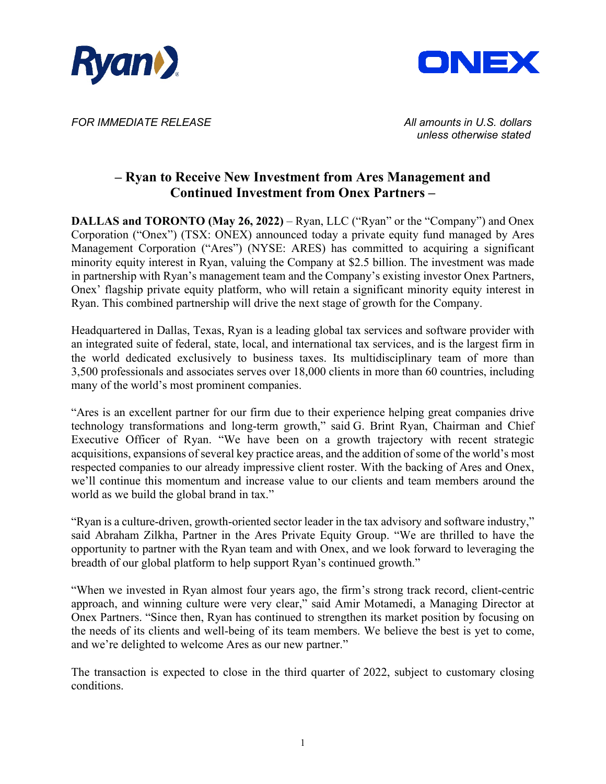



*FOR IMMEDIATE RELEASE All amounts in U.S. dollars*

 *unless otherwise stated*

## **– Ryan to Receive New Investment from Ares Management and Continued Investment from Onex Partners –**

**DALLAS and TORONTO (May 26, 2022)** – Ryan, LLC ("Ryan" or the "Company") and Onex Corporation ("Onex") (TSX: ONEX) announced today a private equity fund managed by Ares Management Corporation ("Ares") (NYSE: ARES) has committed to acquiring a significant minority equity interest in Ryan, valuing the Company at \$2.5 billion. The investment was made in partnership with Ryan's management team and the Company's existing investor Onex Partners, Onex' flagship private equity platform, who will retain a significant minority equity interest in Ryan. This combined partnership will drive the next stage of growth for the Company.

Headquartered in Dallas, Texas, Ryan is a leading global tax services and software provider with an integrated suite of federal, state, local, and international tax services, and is the largest firm in the world dedicated exclusively to business taxes. Its multidisciplinary team of more than 3,500 professionals and associates serves over 18,000 clients in more than 60 countries, including many of the world's most prominent companies.

"Ares is an excellent partner for our firm due to their experience helping great companies drive technology transformations and long-term growth," said G. Brint Ryan, Chairman and Chief Executive Officer of Ryan. "We have been on a growth trajectory with recent strategic acquisitions, expansions of several key practice areas, and the addition of some of the world's most respected companies to our already impressive client roster. With the backing of Ares and Onex, we'll continue this momentum and increase value to our clients and team members around the world as we build the global brand in tax."

"Ryan is a culture-driven, growth-oriented sector leader in the tax advisory and software industry," said Abraham Zilkha, Partner in the Ares Private Equity Group. "We are thrilled to have the opportunity to partner with the Ryan team and with Onex, and we look forward to leveraging the breadth of our global platform to help support Ryan's continued growth."

"When we invested in Ryan almost four years ago, the firm's strong track record, client-centric approach, and winning culture were very clear," said Amir Motamedi, a Managing Director at Onex Partners. "Since then, Ryan has continued to strengthen its market position by focusing on the needs of its clients and well-being of its team members. We believe the best is yet to come, and we're delighted to welcome Ares as our new partner."

The transaction is expected to close in the third quarter of 2022, subject to customary closing conditions.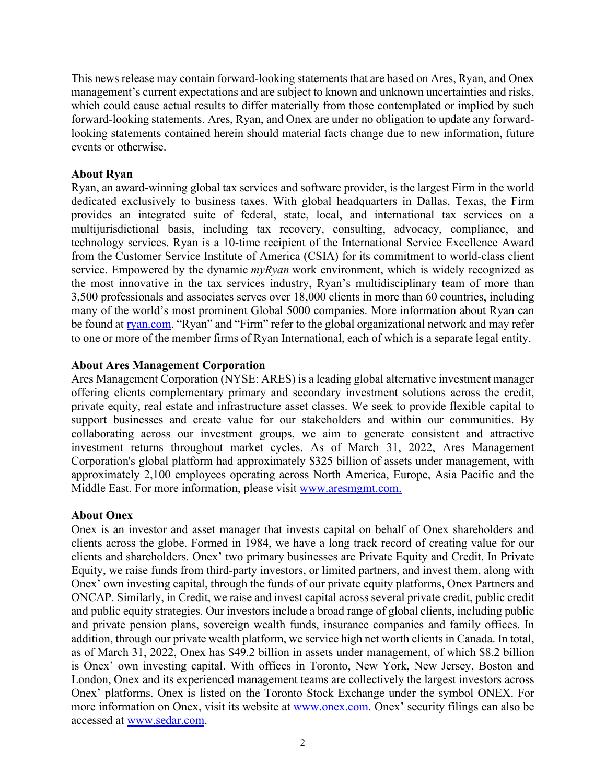This news release may contain forward-looking statements that are based on Ares, Ryan, and Onex management's current expectations and are subject to known and unknown uncertainties and risks, which could cause actual results to differ materially from those contemplated or implied by such forward-looking statements. Ares, Ryan, and Onex are under no obligation to update any forwardlooking statements contained herein should material facts change due to new information, future events or otherwise.

### **About Ryan**

Ryan, an award-winning global tax services and software provider, is the largest Firm in the world dedicated exclusively to business taxes. With global headquarters in Dallas, Texas, the Firm provides an integrated suite of federal, state, local, and international tax services on a multijurisdictional basis, including tax recovery, consulting, advocacy, compliance, and technology services. Ryan is a 10-time recipient of the International Service Excellence Award from the Customer Service Institute of America (CSIA) for its commitment to world-class client service. Empowered by the dynamic *myRyan* work environment, which is widely recognized as the most innovative in the tax services industry, Ryan's multidisciplinary team of more than 3,500 professionals and associates serves over 18,000 clients in more than 60 countries, including many of the world's most prominent Global 5000 companies. More information about Ryan can be found at [ryan.com.](http://www.ryan.com/) "Ryan" and "Firm" refer to the global organizational network and may refer to one or more of the member firms of Ryan International, each of which is a separate legal entity.

#### **About Ares Management Corporation**

Ares Management Corporation (NYSE: ARES) is a leading global alternative investment manager offering clients complementary primary and secondary investment solutions across the credit, private equity, real estate and infrastructure asset classes. We seek to provide flexible capital to support businesses and create value for our stakeholders and within our communities. By collaborating across our investment groups, we aim to generate consistent and attractive investment returns throughout market cycles. As of March 31, 2022, Ares Management Corporation's global platform had approximately \$325 billion of assets under management, with approximately 2,100 employees operating across North America, Europe, Asia Pacific and the Middle East. For more information, please visit [www.aresmgmt.com.](http://www.aresmgmt.com./)

#### **About Onex**

Onex is an investor and asset manager that invests capital on behalf of Onex shareholders and clients across the globe. Formed in 1984, we have a long track record of creating value for our clients and shareholders. Onex' two primary businesses are Private Equity and Credit. In Private Equity, we raise funds from third-party investors, or limited partners, and invest them, along with Onex' own investing capital, through the funds of our private equity platforms, Onex Partners and ONCAP. Similarly, in Credit, we raise and invest capital across several private credit, public credit and public equity strategies. Our investors include a broad range of global clients, including public and private pension plans, sovereign wealth funds, insurance companies and family offices. In addition, through our private wealth platform, we service high net worth clients in Canada. In total, as of March 31, 2022, Onex has \$49.2 billion in assets under management, of which \$8.2 billion is Onex' own investing capital. With offices in Toronto, New York, New Jersey, Boston and London, Onex and its experienced management teams are collectively the largest investors across Onex' platforms. Onex is listed on the Toronto Stock Exchange under the symbol ONEX. For more information on Onex, visit its website at [www.onex.com.](http://www.onex.com/) Onex' security filings can also be accessed at [www.sedar.com.](http://www.sedar.com/)